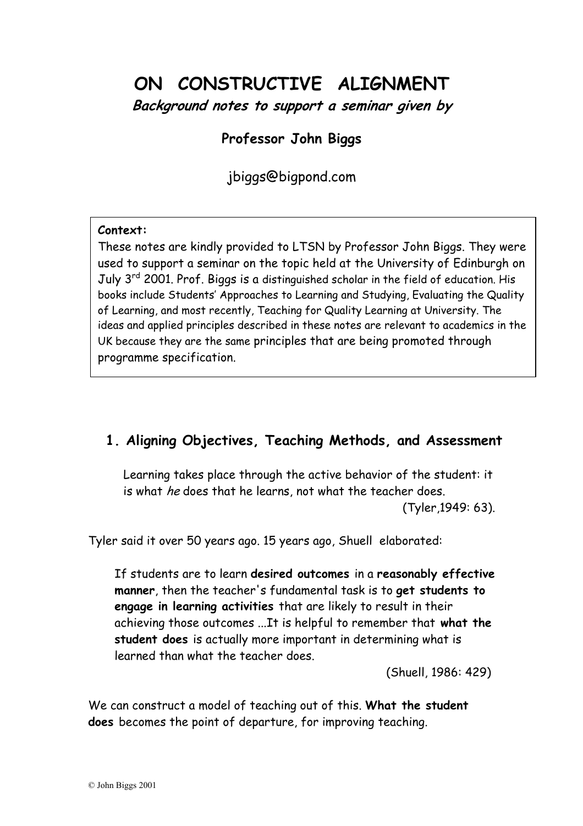# **ON CONSTRUCTIVE ALIGNMENT**

**Background notes to support a seminar given by** 

## **Professor John Biggs**

jbiggs@bigpond.com

#### **Context:**

These notes are kindly provided to LTSN by Professor John Biggs. They were used to support a seminar on the topic held at the University of Edinburgh on July 3<sup>rd</sup> 2001. Prof. Biggs is a distinguished scholar in the field of education. His books include Students' Approaches to Learning and Studying, Evaluating the Quality of Learning, and most recently, Teaching for Quality Learning at University. The ideas and applied principles described in these notes are relevant to academics in the UK because they are the same principles that are being promoted through programme specification.

## **1. Aligning Objectives, Teaching Methods, and Assessment**

Learning takes place through the active behavior of the student: it is what he does that he learns, not what the teacher does.

(Tyler,1949: 63).

Tyler said it over 50 years ago. 15 years ago, Shuell elaborated:

If students are to learn **desired outcomes** in a **reasonably effective manner**, then the teacher's fundamental task is to **get students to engage in learning activities** that are likely to result in their achieving those outcomes ...It is helpful to remember that **what the student does** is actually more important in determining what is learned than what the teacher does.

(Shuell, 1986: 429)

We can construct a model of teaching out of this. **What the student does** becomes the point of departure, for improving teaching.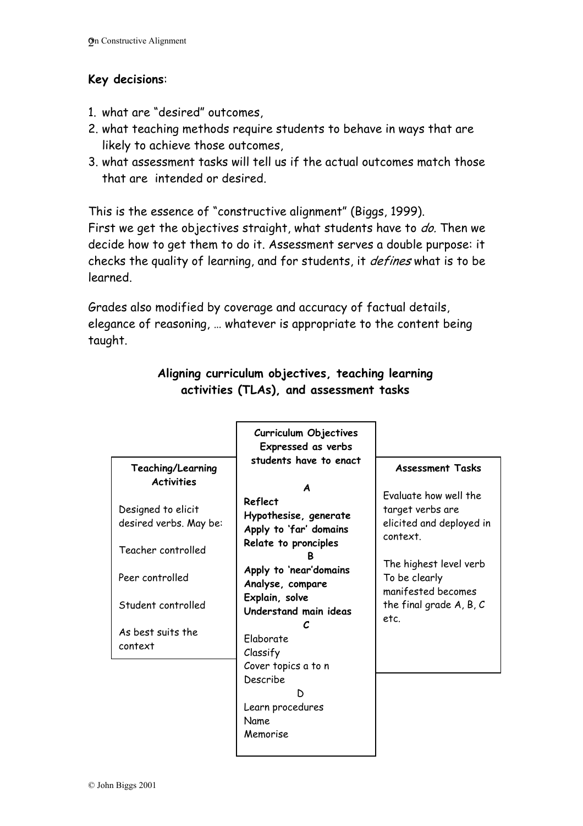#### **Key decisions**:

- 1. what are "desired" outcomes,
- 2. what teaching methods require students to behave in ways that are likely to achieve those outcomes,
- 3. what assessment tasks will tell us if the actual outcomes match those that are intended or desired.

This is the essence of "constructive alignment" (Biggs, 1999). First we get the objectives straight, what students have to do. Then we decide how to get them to do it. Assessment serves a double purpose: it checks the quality of learning, and for students, it defines what is to be learned.

Grades also modified by coverage and accuracy of factual details, elegance of reasoning, … whatever is appropriate to the content being taught.

|                                              | Curriculum Objectives<br>Expressed as verbs<br>students have to enact                                                                                                                                            |                                                                                                          |
|----------------------------------------------|------------------------------------------------------------------------------------------------------------------------------------------------------------------------------------------------------------------|----------------------------------------------------------------------------------------------------------|
| Teaching/Learning<br><b>Activities</b>       | Reflect                                                                                                                                                                                                          | <b>Assessment Tasks</b><br>Evaluate how well the                                                         |
| Designed to elicit<br>desired verbs. May be: | Hypothesise, generate<br>Apply to 'far' domains<br>Relate to pronciples<br>Apply to 'near'domains<br>Analyse, compare<br>Explain, solve<br>Understand main ideas<br>Elaborate<br>Classify<br>Cover topics a to n | target verbs are<br>elicited and deployed in<br>context.                                                 |
| Teacher controlled<br>Peer controlled        |                                                                                                                                                                                                                  | The highest level verb<br>To be clearly<br>manifested becomes<br>the final grade $A$ , $B$ , $C$<br>etc. |
| Student controlled                           |                                                                                                                                                                                                                  |                                                                                                          |
| As best suits the<br>context                 |                                                                                                                                                                                                                  |                                                                                                          |
|                                              | Describe<br>Learn procedures<br><b>Name</b><br>Memorise                                                                                                                                                          |                                                                                                          |

### **Aligning curriculum objectives, teaching learning activities (TLAs), and assessment tasks**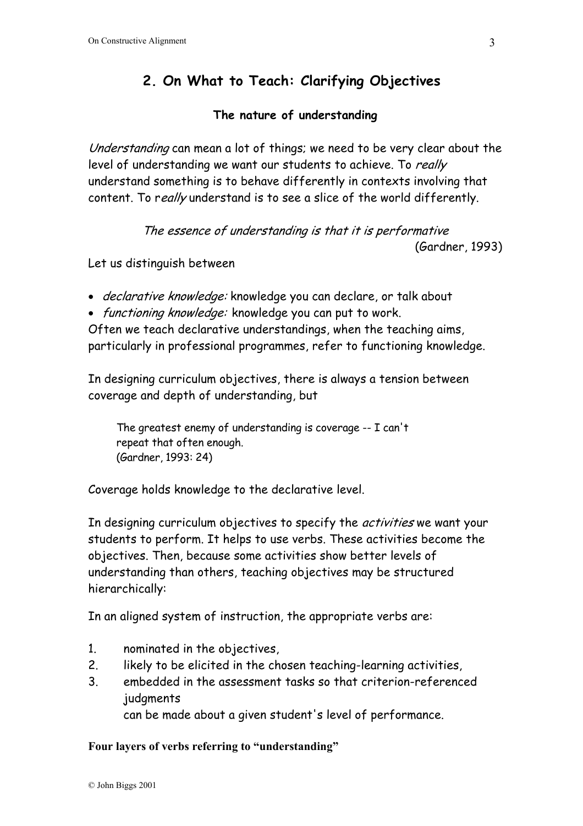# **2. On What to Teach: Clarifying Objectives**

#### **The nature of understanding**

Understanding can mean a lot of things; we need to be very clear about the level of understanding we want our students to achieve. To really understand something is to behave differently in contexts involving that content. To really understand is to see a slice of the world differently.

> The essence of understanding is that it is performative (Gardner, 1993)

Let us distinguish between

- declarative knowledge: knowledge you can declare, or talk about
- functioning knowledge: knowledge you can put to work.

Often we teach declarative understandings, when the teaching aims, particularly in professional programmes, refer to functioning knowledge.

In designing curriculum objectives, there is always a tension between coverage and depth of understanding, but

 The greatest enemy of understanding is coverage -- I can't repeat that often enough. (Gardner, 1993: 24)

Coverage holds knowledge to the declarative level.

In designing curriculum objectives to specify the *activities* we want your students to perform. It helps to use verbs. These activities become the objectives. Then, because some activities show better levels of understanding than others, teaching objectives may be structured hierarchically:

In an aligned system of instruction, the appropriate verbs are:

- 1. nominated in the objectives,
- 2. likely to be elicited in the chosen teaching-learning activities,
- 3. embedded in the assessment tasks so that criterion-referenced judgments

can be made about a given student's level of performance.

**Four layers of verbs referring to "understanding"**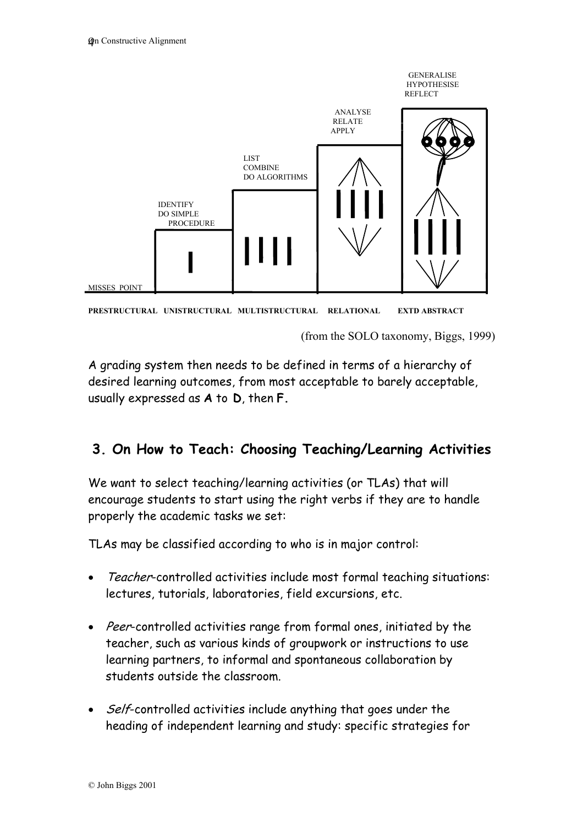



(from the SOLO taxonomy, Biggs, 1999)

A grading system then needs to be defined in terms of a hierarchy of desired learning outcomes, from most acceptable to barely acceptable, usually expressed as **A** to **D**, then **F.** 

## **3. On How to Teach: Choosing Teaching/Learning Activities**

We want to select teaching/learning activities (or TLAs) that will encourage students to start using the right verbs if they are to handle properly the academic tasks we set:

TLAs may be classified according to who is in major control:

- Teacher-controlled activities include most formal teaching situations: lectures, tutorials, laboratories, field excursions, etc.
- Peer-controlled activities range from formal ones, initiated by the teacher, such as various kinds of groupwork or instructions to use learning partners, to informal and spontaneous collaboration by students outside the classroom.
- Self-controlled activities include anything that goes under the heading of independent learning and study: specific strategies for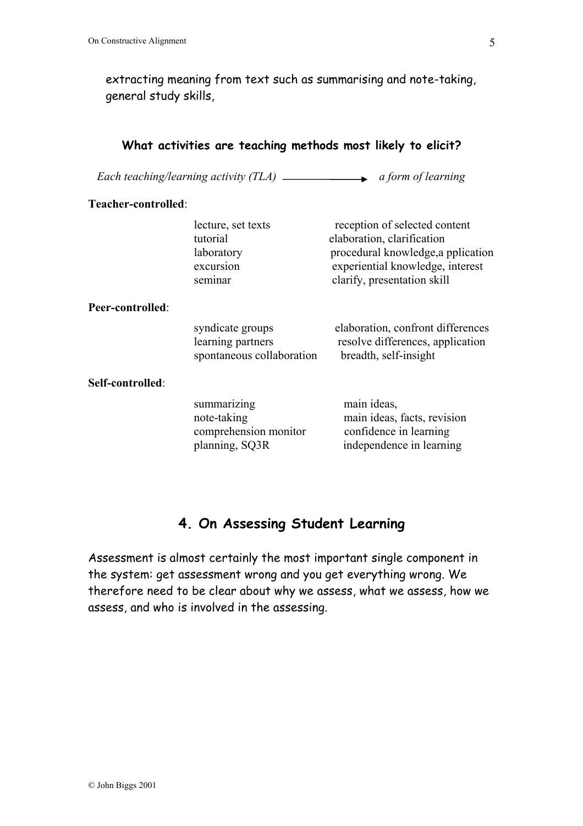extracting meaning from text such as summarising and note-taking, general study skills,

| What activities are teaching methods most likely to elicit? |                                                                       |                                                                                                                                                                      |  |  |
|-------------------------------------------------------------|-----------------------------------------------------------------------|----------------------------------------------------------------------------------------------------------------------------------------------------------------------|--|--|
|                                                             |                                                                       | Each teaching/learning activity $(TLA)$ $\longrightarrow$ a form of learning                                                                                         |  |  |
| Teacher-controlled:                                         |                                                                       |                                                                                                                                                                      |  |  |
|                                                             | lecture, set texts<br>tutorial<br>laboratory<br>excursion<br>seminar  | reception of selected content<br>elaboration, clarification<br>procedural knowledge, a pplication<br>experiential knowledge, interest<br>clarify, presentation skill |  |  |
| Peer-controlled:                                            | syndicate groups<br>learning partners<br>spontaneous collaboration    | elaboration, confront differences<br>resolve differences, application<br>breadth, self-insight                                                                       |  |  |
| Self-controlled:                                            | summarizing<br>note-taking<br>comprehension monitor<br>planning, SQ3R | main ideas,<br>main ideas, facts, revision<br>confidence in learning<br>independence in learning                                                                     |  |  |

## **4. On Assessing Student Learning**

Assessment is almost certainly the most important single component in the system: get assessment wrong and you get everything wrong. We therefore need to be clear about why we assess, what we assess, how we assess, and who is involved in the assessing.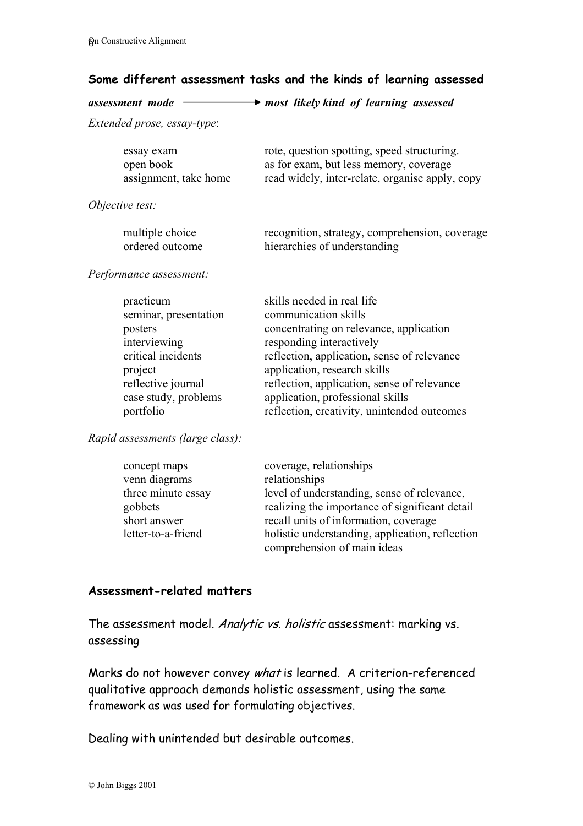#### **Some different assessment tasks and the kinds of learning assessed**

| assessment mode                                                                                                                                           | most likely kind of learning assessed                                                                                                                                                                                                                                                                                                      |
|-----------------------------------------------------------------------------------------------------------------------------------------------------------|--------------------------------------------------------------------------------------------------------------------------------------------------------------------------------------------------------------------------------------------------------------------------------------------------------------------------------------------|
| Extended prose, essay-type:                                                                                                                               |                                                                                                                                                                                                                                                                                                                                            |
| essay exam<br>open book<br>assignment, take home                                                                                                          | rote, question spotting, speed structuring.<br>as for exam, but less memory, coverage<br>read widely, inter-relate, organise apply, copy                                                                                                                                                                                                   |
| Objective test:                                                                                                                                           |                                                                                                                                                                                                                                                                                                                                            |
| multiple choice<br>ordered outcome                                                                                                                        | recognition, strategy, comprehension, coverage<br>hierarchies of understanding                                                                                                                                                                                                                                                             |
| Performance assessment:                                                                                                                                   |                                                                                                                                                                                                                                                                                                                                            |
| practicum<br>seminar, presentation<br>posters<br>interviewing<br>critical incidents<br>project<br>reflective journal<br>case study, problems<br>portfolio | skills needed in real life<br>communication skills<br>concentrating on relevance, application<br>responding interactively<br>reflection, application, sense of relevance<br>application, research skills<br>reflection, application, sense of relevance<br>application, professional skills<br>reflection, creativity, unintended outcomes |
| Rapid assessments (large class):                                                                                                                          |                                                                                                                                                                                                                                                                                                                                            |
| concept maps<br>venn diagrams<br>three minute essay<br>gobbets                                                                                            | coverage, relationships<br>relationships<br>level of understanding, sense of relevance,<br>realizing the importance of significant detail                                                                                                                                                                                                  |

#### **Assessment-related matters**

The assessment model. Analytic vs. holistic assessment: marking vs. assessing

short answer recall units of information, coverage

letter-to-a-friend holistic understanding, application, reflection

comprehension of main ideas

Marks do not however convey what is learned. A criterion-referenced qualitative approach demands holistic assessment, using the same framework as was used for formulating objectives.

Dealing with unintended but desirable outcomes.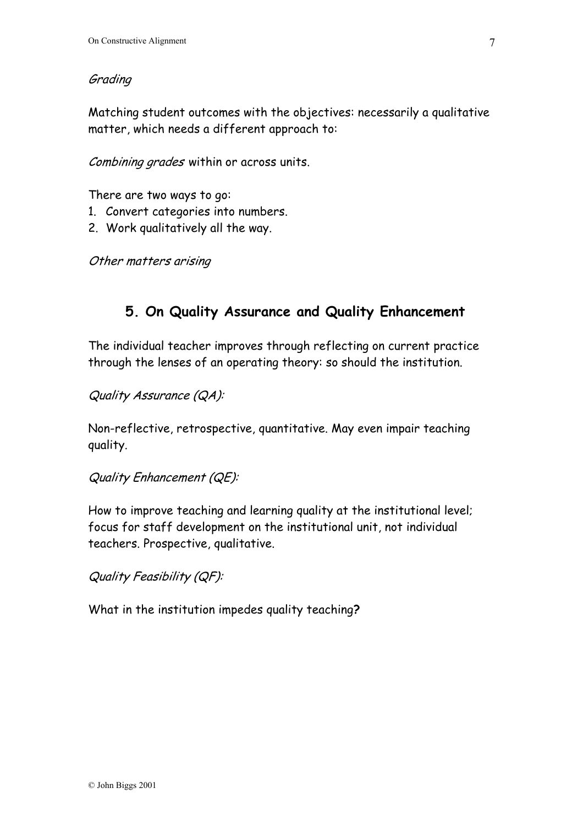#### Grading

Matching student outcomes with the objectives: necessarily a qualitative matter, which needs a different approach to:

Combining grades within or across units.

There are two ways to go:

- 1. Convert categories into numbers.
- 2. Work qualitatively all the way.

Other matters arising

## **5. On Quality Assurance and Quality Enhancement**

The individual teacher improves through reflecting on current practice through the lenses of an operating theory: so should the institution.

Quality Assurance (QA):

Non-reflective, retrospective, quantitative. May even impair teaching quality.

Quality Enhancement (QE):

How to improve teaching and learning quality at the institutional level; focus for staff development on the institutional unit, not individual teachers. Prospective, qualitative.

Quality Feasibility (QF):

What in the institution impedes quality teaching**?**